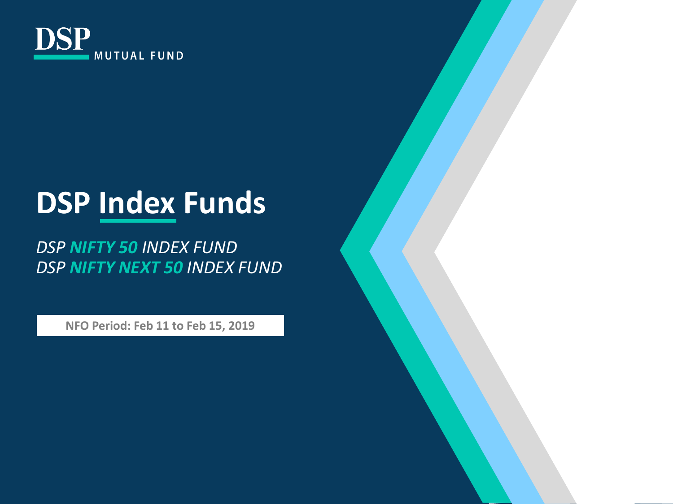

## **DSP Index Funds**

*DSP NIFTY 50 INDEX FUND DSP NIFTY NEXT 50 INDEX FUND*

**NFO Period: Feb 11 to Feb 15, 2019**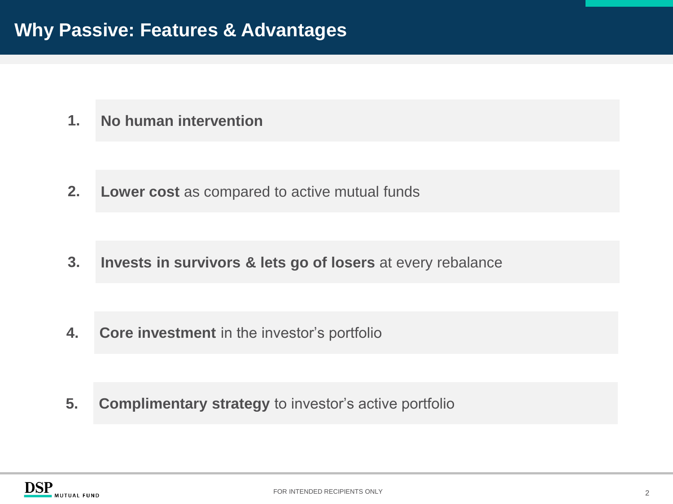**No human intervention 1.**

**Lower cost** as compared to active mutual funds **2.**

**Invests in survivors & lets go of losers** at every rebalance **3.**

**4. Core investment** in the investor's portfolio

**5. Complimentary strategy** to investor's active portfolio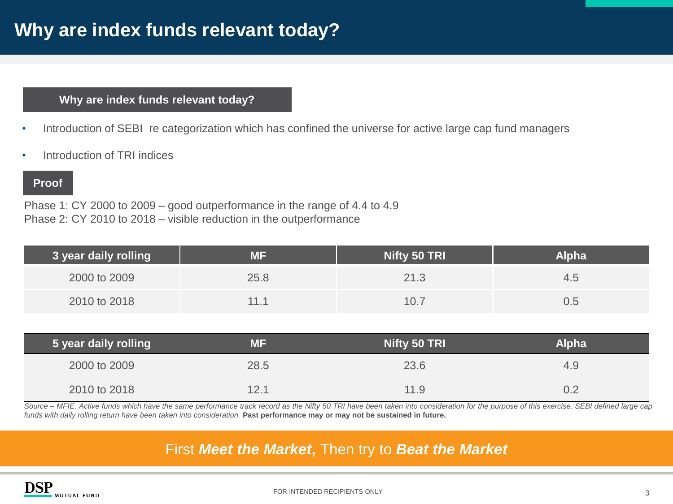#### **Why are index funds relevant today?**

- Introduction of SEBI re categorization which has confined the universe for active large cap fund managers
- Introduction of TRI indices

#### **Proof**

Phase 1: CY 2000 to 2009 – good outperformance in the range of 4.4 to 4.9 Phase 2: CY 2010 to 2018 – visible reduction in the outperformance

| 3 year daily rolling | ΜF   | Nifty 50 TRI | <b>Alpha</b> |
|----------------------|------|--------------|--------------|
| 2000 to 2009         | 25.8 | 21.3         | 4.5          |
| 2010 to 2018         | 11.1 | 10.7         | J.5          |

| 5 year daily rolling | ΜF   | Nifty 50 TRI | <b>Alpha</b> |
|----------------------|------|--------------|--------------|
| 2000 to 2009         | 28.5 | 23.6         | 4.9          |
| 2010 to 2018         | 12.1 | 11.9         |              |

Source - MFIE. Active funds which have the same performance track record as the Nifty 50 TRI have been taken into consideration for the purpose of this exercise. SEBI defined large cap funds with daily rolling return have been taken into consideration. Past performance may or may not be sustained in future.

### First *Meet the Market***,** Then try to *Beat the Market*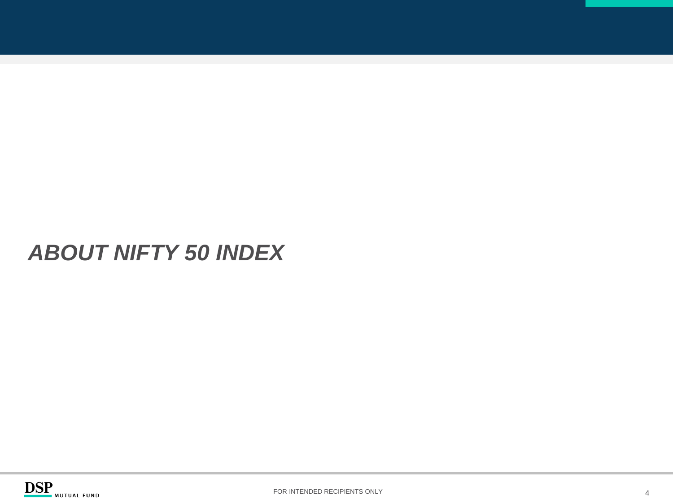## *ABOUT NIFTY 50 INDEX*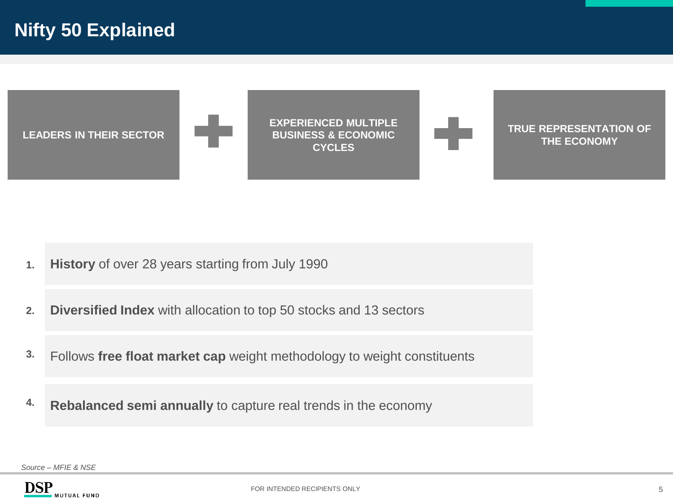

- **1. History** of over 28 years starting from July 1990
- **2. Diversified Index** with allocation to top 50 stocks and 13 sectors
- **3.** Follows **free float market cap** weight methodology to weight constituents
- **4. Rebalanced semi annually** to capture real trends in the economy

*Source – MFIE & NSE*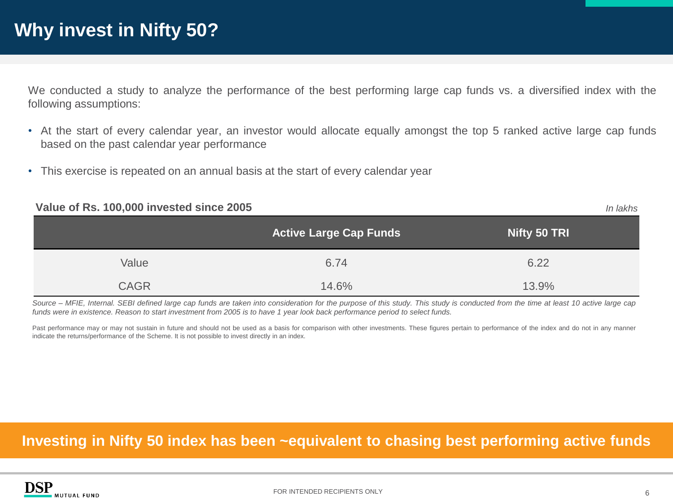We conducted a study to analyze the performance of the best performing large cap funds vs. a diversified index with the following assumptions:

- At the start of every calendar year, an investor would allocate equally amongst the top 5 ranked active large cap funds based on the past calendar year performance
- This exercise is repeated on an annual basis at the start of every calendar year

| Value of Rs. 100,000 invested since 2005 |                               | In lakhs     |
|------------------------------------------|-------------------------------|--------------|
|                                          | <b>Active Large Cap Funds</b> | Nifty 50 TRI |
| Value                                    | 6.74                          | 6.22         |
| <b>CAGR</b>                              | 14.6%                         | 13.9%        |

Source - MFIE, Internal. SEBI defined large cap funds are taken into consideration for the purpose of this study. This study is conducted from the time at least 10 active large cap funds were in existence. Reason to start investment from 2005 is to have 1 year look back performance period to select funds.

Past performance may or may not sustain in future and should not be used as a basis for comparison with other investments. These figures pertain to performance of the index and do not in any manner indicate the returns/performance of the Scheme. It is not possible to invest directly in an index.

#### **Investing in Nifty 50 index has been ~equivalent to chasing best performing active funds**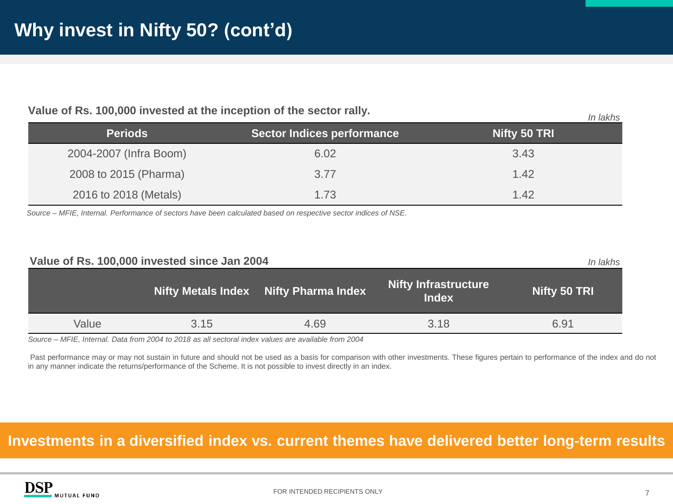| <b>VAIDS OF INSTITUTION INTERNATIONAL AND INTERNATIONAL CONTRACTOR</b><br>In lakhs |                                   |              |
|------------------------------------------------------------------------------------|-----------------------------------|--------------|
| <b>Periods</b>                                                                     | <b>Sector Indices performance</b> | Nifty 50 TRI |
| 2004-2007 (Infra Boom)                                                             | 6.02                              | 3.43         |
| 2008 to 2015 (Pharma)                                                              | 3.77                              | 1.42         |
| 2016 to 2018 (Metals)                                                              | 1.73                              | 1.42         |

**Value of Rs. 100,000 invested at the inception of the sector rally.**

Source - MFIE, Internal. Performance of sectors have been calculated based on respective sector indices of NSE.

| Value of Rs. 100,000 invested since Jan 2004<br>In lakhs |      |                                       |                                             |              |
|----------------------------------------------------------|------|---------------------------------------|---------------------------------------------|--------------|
|                                                          |      | Nifty Metals Index Nifty Pharma Index | <b>Nifty Infrastructure</b><br><b>Index</b> | Nifty 50 TRI |
| Value                                                    | 3.15 | 4.69                                  | 3.18                                        | 6.91         |

Source - MFIE, Internal. Data from 2004 to 2018 as all sectoral index values are available from 2004

Past performance may or may not sustain in future and should not be used as a basis for comparison with other investments. These figures pertain to performance of the index and do not in any manner indicate the returns/performance of the Scheme. It is not possible to invest directly in an index.

#### **Investments in a diversified index vs. current themes have delivered better long-term results**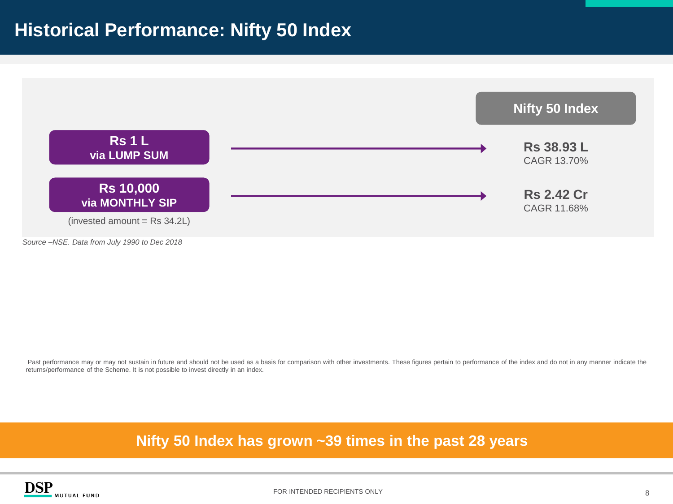

Past performance may or may not sustain in future and should not be used as a basis for comparison with other investments. These figures pertain to performance of the index and do not in any manner indicate the returns/performance of the Scheme. It is not possible to invest directly in an index.

**Nifty 50 Index has grown ~39 times in the past 28 years** 



FOR INTENDED RECIPIENTS ONLY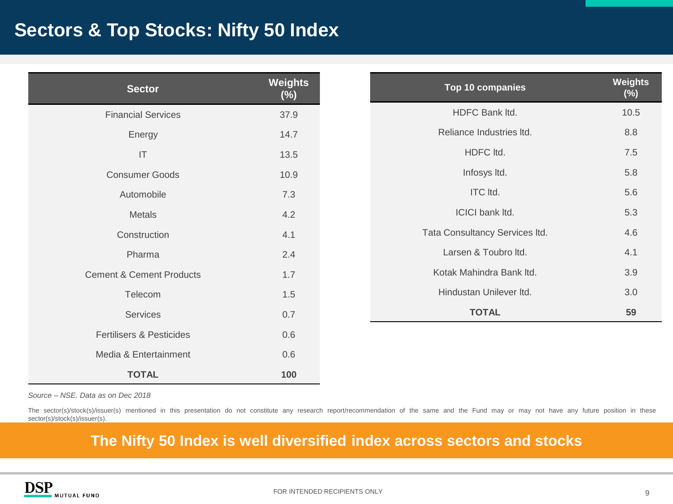## **Sectors & Top Stocks: Nifty 50 Index**

| <b>Sector</b>                       | Weights<br>$(\%)$ |
|-------------------------------------|-------------------|
| <b>Financial Services</b>           | 37.9              |
| Energy                              | 14.7              |
| $\mathsf{I}\mathsf{T}$              | 13.5              |
| <b>Consumer Goods</b>               | 10.9              |
| Automobile                          | 7.3               |
| Metals                              | 4.2               |
| Construction                        | 4.1               |
| Pharma                              | 2.4               |
| <b>Cement &amp; Cement Products</b> | 1.7               |
| Telecom                             | 1.5               |
| Services                            | 0.7               |
| <b>Fertilisers &amp; Pesticides</b> | 0.6               |
| Media & Entertainment               | 0.6               |
| <b>TOTAL</b>                        | 100               |

*Source – NSE. Data as on Dec 2018*

The sector(s)/stock(s)/issuer(s) mentioned in this presentation do not constitute any research report/recommendation of the same and the Fund may or may not have any future position in these sector(s)/stock(s)/issuer(s).

### **The Nifty 50 Index is well diversified index across sectors and stocks**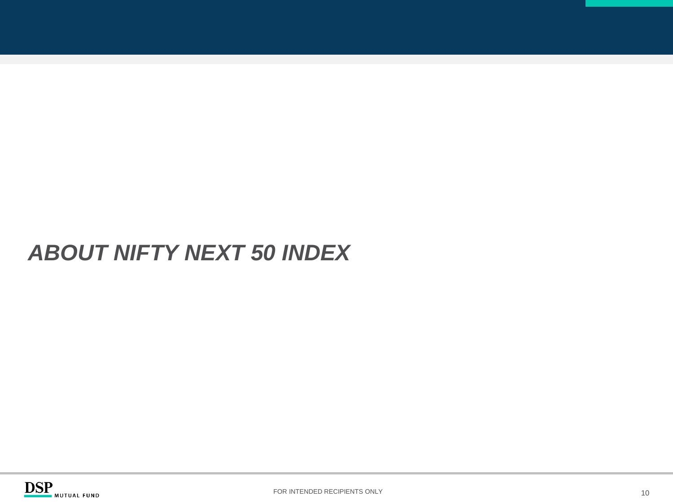## *ABOUT NIFTY NEXT 50 INDEX*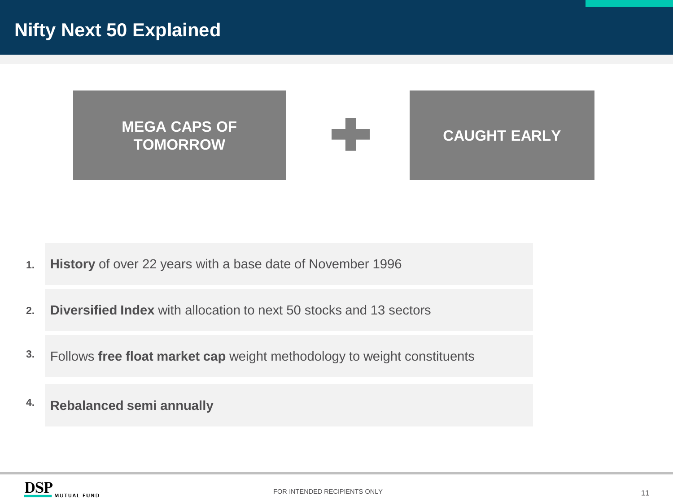**MEGA CAPS OF TOMORROW CAUGHT EARLY** 

- **1. History** of over 22 years with a base date of November 1996
- **2. Diversified Index** with allocation to next 50 stocks and 13 sectors
- **3.** Follows **free float market cap** weight methodology to weight constituents
- **4. Rebalanced semi annually**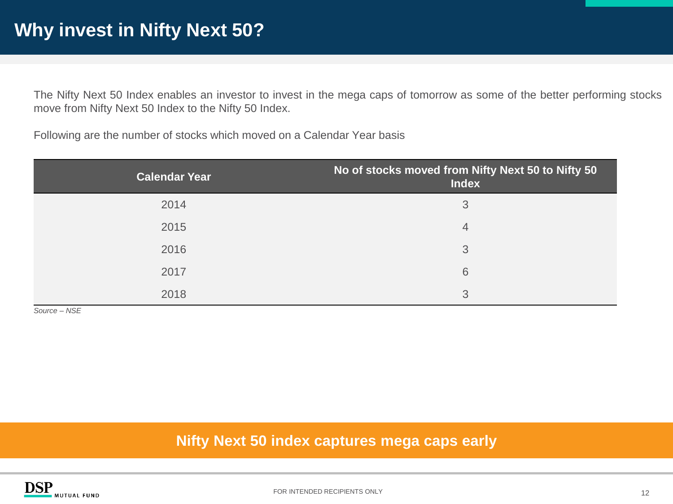The Nifty Next 50 Index enables an investor to invest in the mega caps of tomorrow as some of the better performing stocks move from Nifty Next 50 Index to the Nifty 50 Index.

Following are the number of stocks which moved on a Calendar Year basis

| <b>Calendar Year</b> | No of stocks moved from Nifty Next 50 to Nifty 50<br><b>Index</b> |
|----------------------|-------------------------------------------------------------------|
| 2014                 | 3                                                                 |
| 2015                 | 4                                                                 |
| 2016                 | 3                                                                 |
| 2017                 | 6                                                                 |
| 2018                 | 3                                                                 |

*Source – NSE*

#### **Nifty Next 50 index captures mega caps early**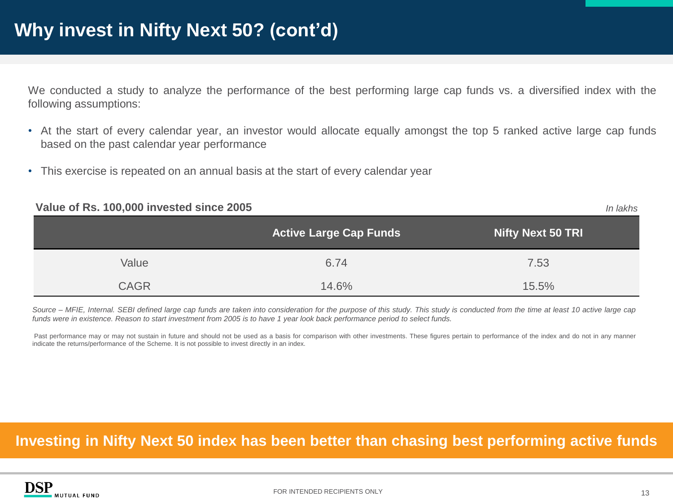We conducted a study to analyze the performance of the best performing large cap funds vs. a diversified index with the following assumptions:

- At the start of every calendar year, an investor would allocate equally amongst the top 5 ranked active large cap funds based on the past calendar year performance
- This exercise is repeated on an annual basis at the start of every calendar year

| Value of Rs. 100,000 invested since 2005 |                               | In lakhs                 |
|------------------------------------------|-------------------------------|--------------------------|
|                                          | <b>Active Large Cap Funds</b> | <b>Nifty Next 50 TRI</b> |
| Value                                    | 6.74                          | 7.53                     |
| <b>CAGR</b>                              | 14.6%                         | 15.5%                    |

Source - MFIE, Internal. SEBI defined large cap funds are taken into consideration for the purpose of this study. This study is conducted from the time at least 10 active large cap funds were in existence. Reason to start investment from 2005 is to have 1 year look back performance period to select funds.

Past performance may or may not sustain in future and should not be used as a basis for comparison with other investments. These figures pertain to performance of the index and do not in any manner indicate the returns/performance of the Scheme. It is not possible to invest directly in an index.

#### **Investing in Nifty Next 50 index has been better than chasing best performing active funds**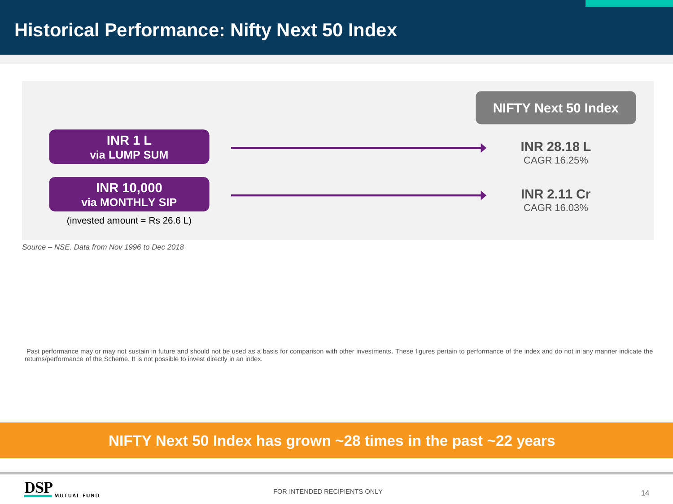

*Source – NSE. Data from Nov 1996 to Dec 2018*

Past performance may or may not sustain in future and should not be used as a basis for comparison with other investments. These figures pertain to performance of the index and do not in any manner indicate the returns/performance of the Scheme. It is not possible to invest directly in an index.

#### **NIFTY Next 50 Index has grown ~28 times in the past ~22 years**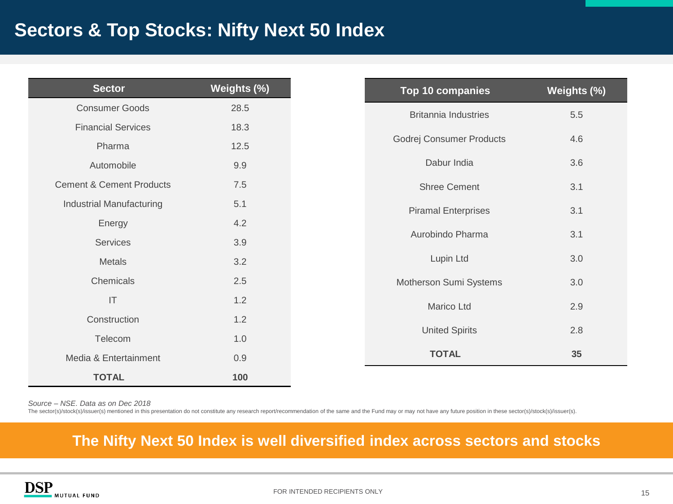## **Sectors & Top Stocks: Nifty Next 50 Index**

| <b>Sector</b>                       | Weights (%) | Top 10 companies            | Weights (%) |
|-------------------------------------|-------------|-----------------------------|-------------|
| <b>Consumer Goods</b>               | 28.5        | <b>Britannia Industries</b> | 5.5         |
| <b>Financial Services</b>           | 18.3        |                             |             |
| Pharma                              | 12.5        | Godrej Consumer Products    | 4.6         |
| Automobile                          | 9.9         | Dabur India                 | 3.6         |
| <b>Cement &amp; Cement Products</b> | 7.5         | <b>Shree Cement</b>         | 3.1         |
| Industrial Manufacturing            | 5.1         | <b>Piramal Enterprises</b>  | 3.1         |
| Energy                              | 4.2         |                             |             |
| Services                            | 3.9         | Aurobindo Pharma            | 3.1         |
| <b>Metals</b>                       | 3.2         | Lupin Ltd                   | 3.0         |
| Chemicals                           | 2.5         | Motherson Sumi Systems      | 3.0         |
| $\mathsf{I}\mathsf{T}$              | 1.2         | Marico Ltd                  | 2.9         |
| Construction                        | 1.2         |                             |             |
| Telecom                             | 1.0         | <b>United Spirits</b>       | 2.8         |
| Media & Entertainment               | 0.9         | <b>TOTAL</b>                | 35          |
| <b>TOTAL</b>                        | 100         |                             |             |

*Source – NSE. Data as on Dec 2018*

The sector(s)/stock(s)/issuer(s) mentioned in this presentation do not constitute any research report/recommendation of the same and the Fund may or may not have any future position in these sector(s)/stock(s)/issuer(s).

#### **The Nifty Next 50 Index is well diversified index across sectors and stocks**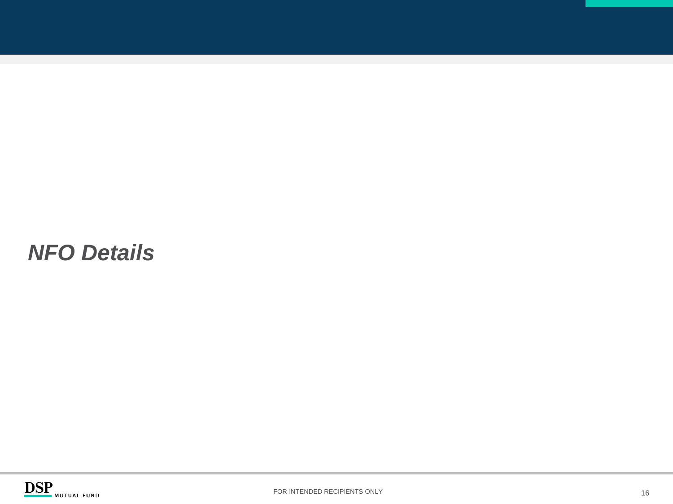## *NFO Details*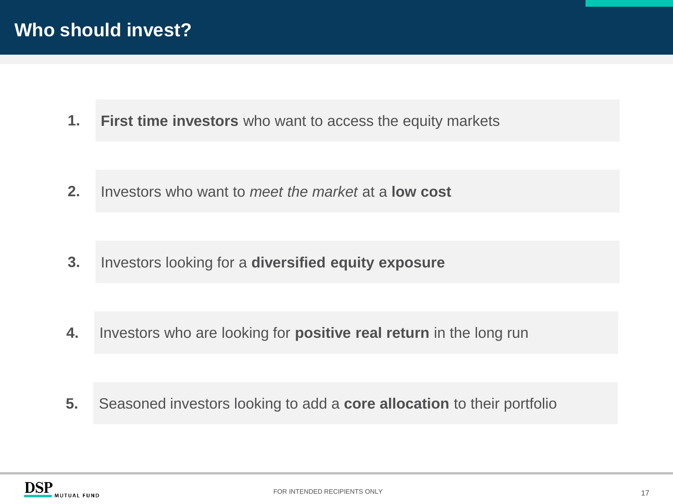## **Who should invest?**

**First time investors** who want to access the equity markets **1.**

Investors who want to *meet the market* at a **low cost 2.**

Investors looking for a **diversified equity exposure 3.**

**4.** Investors who are looking for **positive real return** in the long run

**5.** Seasoned investors looking to add a **core allocation** to their portfolio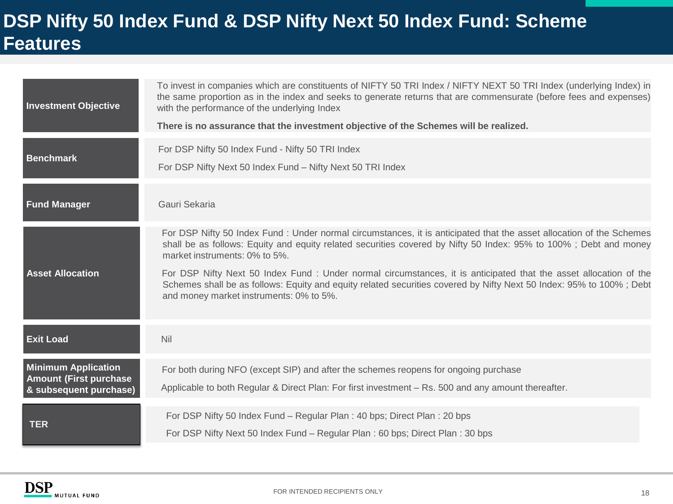## **DSP Nifty 50 Index Fund & DSP Nifty Next 50 Index Fund: Scheme Features**

| <b>Investment Objective</b>                                                            | To invest in companies which are constituents of NIFTY 50 TRI Index / NIFTY NEXT 50 TRI Index (underlying Index) in<br>the same proportion as in the index and seeks to generate returns that are commensurate (before fees and expenses)<br>with the performance of the underlying Index<br>There is no assurance that the investment objective of the Schemes will be realized.                                                                                                                                                                                |
|----------------------------------------------------------------------------------------|------------------------------------------------------------------------------------------------------------------------------------------------------------------------------------------------------------------------------------------------------------------------------------------------------------------------------------------------------------------------------------------------------------------------------------------------------------------------------------------------------------------------------------------------------------------|
| <b>Benchmark</b>                                                                       | For DSP Nifty 50 Index Fund - Nifty 50 TRI Index<br>For DSP Nifty Next 50 Index Fund - Nifty Next 50 TRI Index                                                                                                                                                                                                                                                                                                                                                                                                                                                   |
| <b>Fund Manager</b>                                                                    | Gauri Sekaria                                                                                                                                                                                                                                                                                                                                                                                                                                                                                                                                                    |
| <b>Asset Allocation</b>                                                                | For DSP Nifty 50 Index Fund : Under normal circumstances, it is anticipated that the asset allocation of the Schemes<br>shall be as follows: Equity and equity related securities covered by Nifty 50 Index: 95% to 100%; Debt and money<br>market instruments: 0% to 5%.<br>For DSP Nifty Next 50 Index Fund : Under normal circumstances, it is anticipated that the asset allocation of the<br>Schemes shall be as follows: Equity and equity related securities covered by Nifty Next 50 Index: 95% to 100%; Debt<br>and money market instruments: 0% to 5%. |
| <b>Exit Load</b>                                                                       | Nil                                                                                                                                                                                                                                                                                                                                                                                                                                                                                                                                                              |
| <b>Minimum Application</b><br><b>Amount (First purchase)</b><br>& subsequent purchase) | For both during NFO (except SIP) and after the schemes reopens for ongoing purchase<br>Applicable to both Regular & Direct Plan: For first investment - Rs. 500 and any amount thereafter.                                                                                                                                                                                                                                                                                                                                                                       |
| <b>TER</b>                                                                             | For DSP Nifty 50 Index Fund - Regular Plan: 40 bps; Direct Plan: 20 bps<br>For DSP Nifty Next 50 Index Fund - Regular Plan : 60 bps; Direct Plan : 30 bps                                                                                                                                                                                                                                                                                                                                                                                                        |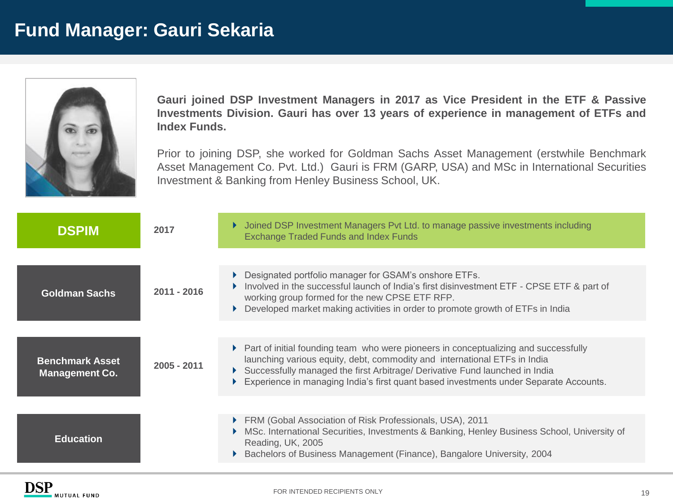

**Gauri joined DSP Investment Managers in 2017 as Vice President in the ETF & Passive Investments Division. Gauri has over 13 years of experience in management of ETFs and Index Funds.**

Prior to joining DSP, she worked for Goldman Sachs Asset Management (erstwhile Benchmark Asset Management Co. Pvt. Ltd.) Gauri is FRM (GARP, USA) and MSc in International Securities Investment & Banking from Henley Business School, UK.

| <b>DSPIM</b>                                    | 2017          | Joined DSP Investment Managers Pvt Ltd. to manage passive investments including<br><b>Exchange Traded Funds and Index Funds</b>                                                                                                                                                                                                            |
|-------------------------------------------------|---------------|--------------------------------------------------------------------------------------------------------------------------------------------------------------------------------------------------------------------------------------------------------------------------------------------------------------------------------------------|
|                                                 |               | ▶ Designated portfolio manager for GSAM's onshore ETFs.<br>Involved in the successful launch of India's first disinvestment ETF - CPSE ETF & part of                                                                                                                                                                                       |
| <b>Goldman Sachs</b>                            | 2011 - 2016   | working group formed for the new CPSE ETF RFP.<br>Developed market making activities in order to promote growth of ETFs in India                                                                                                                                                                                                           |
|                                                 |               |                                                                                                                                                                                                                                                                                                                                            |
| <b>Benchmark Asset</b><br><b>Management Co.</b> | $2005 - 2011$ | ▶ Part of initial founding team who were pioneers in conceptualizing and successfully<br>launching various equity, debt, commodity and international ETFs in India<br>Successfully managed the first Arbitrage/ Derivative Fund launched in India<br>Experience in managing India's first quant based investments under Separate Accounts. |
|                                                 |               |                                                                                                                                                                                                                                                                                                                                            |
| <b>Education</b>                                |               | ▶ FRM (Gobal Association of Risk Professionals, USA), 2011<br>MSc. International Securities, Investments & Banking, Henley Business School, University of<br>Reading, UK, 2005<br>Bachelors of Business Management (Finance), Bangalore University, 2004                                                                                   |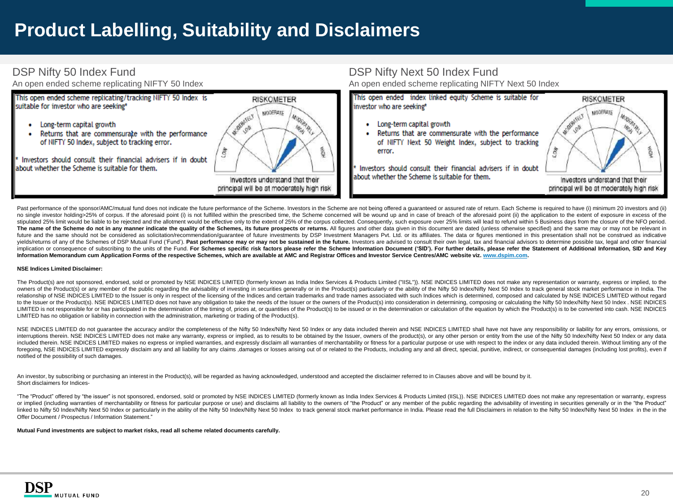## **Product Labelling, Suitability and Disclaimers**

#### DSP Nifty 50 Index Fund

An open ended scheme replicating NIFTY 50 Index



DSP Nifty Next 50 Index Fund

An open ended scheme replicating NIFTY Next 50 Index

Past performance of the sponsor/AMC/mutual fund does not indicate the future performance of the Scheme. Investors in the Scheme are not being offered a quaranteed or assured rate of return. Each Scheme is required to have no single investor holding>25% of corpus. If the aforesaid point (i) is not fulfilled within the prescribed time, the Scheme concerned will be wound up and in case of breach of the aforesaid point (ii) the application to t stipulated 25% limit would be liable to be rejected and the allotment would be effective only to the extent of 25% of the corpus collected. Consequently, such exposure over 25% limits will lead to refund within 5 Business The name of the Scheme do not in any manner indicate the quality of the Schemes, its future prospects or returns. All figures and other data given in this document are dated (unless otherwise specified) and the same may or future and the same should not be considered as solicitation/recommendation/guarantee of future investments by DSP Investment Managers Pvt. Ltd. or its affiliates. The data or figures mentioned in this presentation shall n yields/returns of any of the Schemes of DSP Mutual Fund ('Fund'). Past performance may or may not be sustained in the future. Investors are advised to consult their own legal, tax and financial advisors to determine possib implication or consequence of subscribing to the units of the Fund. For Schemes specific risk factors please refer the Scheme Information Document ('SID'). For further details, please refer the Statement of Additional Info Information Memorandum cum Application Forms of the respective Schemes, which are available at AMC and Registrar Offices and Investor Service Centres/AMC website viz. [www.dspim.com](http://www.dspim.com/).

#### **NSE Indices Limited Disclaimer:**

The Product(s) are not sponsored, endorsed, sold or promoted by NSE INDICES LIMITED (formerly known as India Index Services & Products Limited ("IISL")). NSE INDICES LIMITED does not make any representation or warranty, ex owners of the Product(s) or any member of the public regarding the advisability of investing in securities generally or in the Product(s) particularly or the ability of the Nifty 50 Index/Nifty Next 50 Index to track gener relationship of NSE INDICES LIMITED to the Issuer is only in respect of the licensing of the Indices and certain trademarks and trade names associated with such Indices which is determined, composed and calculated by NSE I to the Issuer or the Product(s). NSE INDICES LIMITED does not have any obligation to take the needs of the Issuer or the owners of the Product(s) into consideration in determining, composing or calculating the Nifty 50 Ind LIMITED is not responsible for or has participated in the determination of the timing of, prices at, or quantities of the Product(s) to be issued or in the determination or calculation of the equation by which the Product( LIMITED has no obligation or liability in connection with the administration, marketing or trading of the Product(s).

NSE INDICES LIMITED do not guarantee the accuracy and/or the completeness of the Nifty 50 Index/Nifty Next 50 Index or any data included therein and NSE INDICES LIMITED shall have not have any responsibility or liability f interruptions therein. NSE INDICES LIMITED does not make any warranty, express or implied, as to results to be obtained by the Issuer, owners of the product(s), or any other person or entity from the use of the Nifty 50 In included therein. NSE INDICES LIMITED makes no express or implied warranties, and expressly disclaim all warranties of merchantability or fitness for a particular purpose or use with respect to the index or any data includ foregoing. NSE INDICES LIMITED expressly disclaim any and all liability for any claims, damages or losses arising out of or related to the Products, including any and all direct, special, punitive, indirect, or consequenti notified of the possibility of such damages.

An investor, by subscribing or purchasing an interest in the Product(s), will be regarded as having acknowledged, understood and accepted the disclaimer referred to in Clauses above and will be bound by it. Short disclaimers for Indices-

"The "Product" offered by "the issuer" is not sponsored, endorsed, sold or promoted by NSE INDICES LIMITED (formerly known as India Index Services & Products Limited (IISL)). NSE INDICES LIMITED does not make any represent or implied (including warranties of merchantability or fitness for particular purpose or use) and disclaims all liability to the owners of "the Product" or any member of the public regarding the advisability of investing i linked to Nifty 50 Index/Nifty Next 50 Index or particularly in the ability of the Nifty 50 Index/Nifty Next 50 Index to track general stock market performance in India. Please read the full Disclaimers in relation to the Offer Document / Prospectus / Information Statement."

**Mutual Fund investments are subject to market risks, read all scheme related documents carefully.**